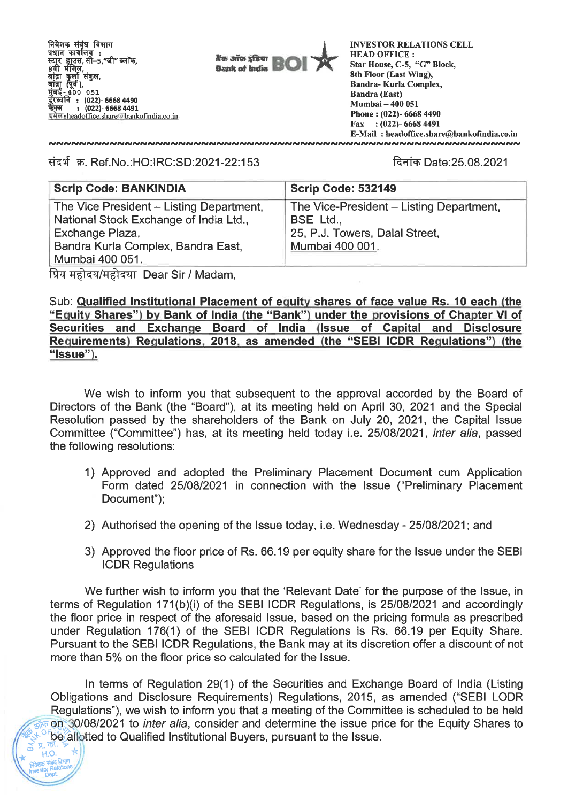निवेशक संबंध विभाग<br>प्रधान कार्यालय :<br>----- ------ ग्री - "प्री बाद्रा कुला सकुल,<br>बांद्रा (पूर्व)*,*<br>मुंबई - 400 051 **: (022)- 6668 4490 : (022)- 6668 4491**  फेक्स : (022)- 6668 4491<br>इमेल : headoffice.share@bankofindia.co.in



**INVESTOR RELATIONS CELL HEAD OFFICE : Star House, C-5, "G" Block, 8th Floor (East Wing), Bandra- Kurla Complex, Bandra (East) Mumbai — 400 051 Phone : (022)- 6668 4490 Fax : (022)- 6668 4491 E-Mail : headoffice.share@bankofindia.co.in**  

Ti-T4 **Ref.No.:HO:IRC:SD:2021-22:153** fk9i7 **Date:25.08.2021** 

**NAINNAINNAINNAINNAINNAINNAINNAINNAIN** 

| <b>Scrip Code: BANKINDIA</b>             | <b>Scrip Code: 532149</b>                |  |
|------------------------------------------|------------------------------------------|--|
| The Vice President - Listing Department, | The Vice-President – Listing Department, |  |
| National Stock Exchange of India Ltd.,   | BSE Ltd.,                                |  |
| Exchange Plaza,                          | 25, P.J. Towers, Dalal Street,           |  |
| Bandra Kurla Complex, Bandra East,       | Mumbai 400 001.                          |  |
| Mumbai 400 051.                          |                                          |  |
|                                          |                                          |  |

IT-41---47/1:0-Tzrr **Dear Sir / Madam,** 

Investor **Relations DePt** 

**Sub: Qualified Institutional Placement of equity shares of face value Rs. 10 each (the "Equity Shares") by Bank of India (the "Bank") under the provisions of Chapter VI of Securities and Exchange Board of India (Issue of Capital and Disclosure Requirements) Regulations, 2018, as amended (the "SEBI ICDR Regulations") (the "Issue").** 

**We wish to inform you that subsequent to the approval accorded by the Board of Directors of the Bank (the "Board"), at its meeting held on April 30, 2021 and the Special Resolution passed by the shareholders of the Bank on July 20, 2021, the Capital Issue Committee ("Committee") has, at its meeting held today i.e. 25/08/2021, inter alia, passed the following resolutions:** 

- **1) Approved and adopted the Preliminary Placement Document cum Application Form dated 25/08/2021 in connection with the Issue ("Preliminary Placement Document");**
- **2) Authorised the opening of the Issue today, i.e. Wednesday 25/08/2021; and**
- **3) Approved the floor price of Rs. 66.19 per equity share for the Issue under the SEBI ICDR Regulations**

**We further wish to inform you that the 'Relevant Date' for the purpose of the Issue, in terms of Regulation 171(b)(i) of the SEBI ICDR Regulations, is 25/08/2021 and accordingly the floor price in respect of the aforesaid Issue, based on the pricing formula as prescribed under Regulation 176(1) of the SEBI ICDR Regulations is Rs. 66.19 per Equity Share. Pursuant to the SEBI ICDR Regulations, the Bank may at its discretion offer a discount of not more than 5% on the floor price so calculated for the Issue.** 

**In terms of Regulation 29(1) of the Securities and Exchange Board of India (Listing Obligations and Disclosure Requirements) Regulations, 2015, as amended ("SEBI LODR Regulations"), we wish to inform you that a meeting of the Committee is scheduled to be held**  4, **on 30/08/2021 to inter alia, consider and determine the issue price for the Equity Shares to As a set of the particle of the USSUE.**<br> **A BUYERS, pursuant to the Issue.**<br>
<br> **A BUYER AND A BUYER AND AND A BUYER AND AND A BUYER AND A BUYER AND A BUYER AND A BUYER AND A BUYER AND A STATE AND A STATE AND A STATE AND A**  $\begin{pmatrix} 1 & \frac{1}{2} & \frac{1}{2} & \frac{1}{2} & \frac{1}{2} \\ \frac{1}{2} & \frac{1}{2} & \frac{1}{2} & \frac{1}{2} \\ \frac{1}{2} & \frac{1}{2} & \frac{1}{2} & \frac{1}{2} \end{pmatrix}$